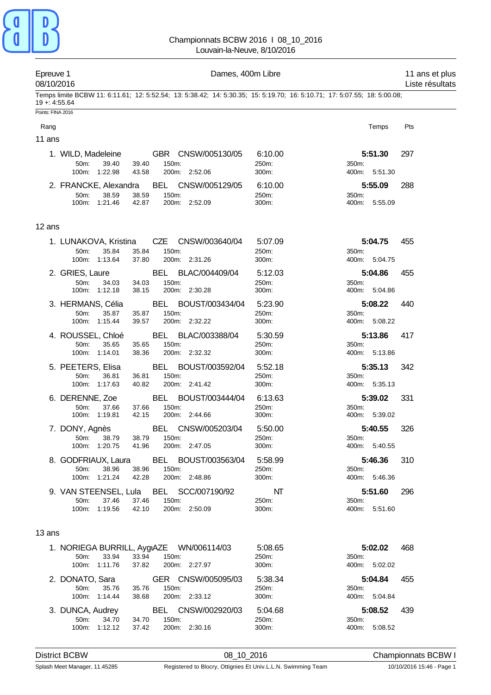| Epreuve 1<br>08/10/2016 |                                                                         |                                                                                                                           | Dames, 400m Libre           |                                   | 11 ans et plus<br>Liste résultats |
|-------------------------|-------------------------------------------------------------------------|---------------------------------------------------------------------------------------------------------------------------|-----------------------------|-----------------------------------|-----------------------------------|
| $19 + 4.55.64$          |                                                                         | Temps limite BCBW 11: 6:11.61; 12: 5:52.54; 13: 5:38.42; 14: 5:30.35; 15: 5:19.70; 16: 5:10.71; 17: 5:07.55; 18: 5:00.08; |                             |                                   |                                   |
| Points: FINA 2016       |                                                                         |                                                                                                                           |                             |                                   |                                   |
| Rang                    |                                                                         |                                                                                                                           |                             | Temps                             | Pts                               |
| 11 ans                  |                                                                         |                                                                                                                           |                             |                                   |                                   |
|                         | 1. WILD, Madeleine<br>50m:<br>39.40<br>100m: 1:22.98                    | GBR CNSW/005130/05<br>150m:<br>39.40<br>200m: 2:52.06<br>43.58                                                            | 6:10.00<br>250m:<br>300m:   | 5:51.30<br>350m:<br>400m: 5:51.30 | 297                               |
|                         | 2. FRANCKE, Alexandra<br>50m:<br>38.59<br>100m: 1:21.46                 | BEL CNSW/005129/05<br>150m:<br>38.59<br>200m: 2:52.09<br>42.87                                                            | 6:10.00<br>250m:<br>300m:   | 5:55.09<br>350m:<br>400m: 5:55.09 | 288                               |
| 12 ans                  |                                                                         |                                                                                                                           |                             |                                   |                                   |
|                         | 1. LUNAKOVA, Kristina<br>35.84<br>50 <sub>m</sub> :<br>100m:<br>1:13.64 | CZE<br>CNSW/003640/04<br>35.84<br>150m:<br>37.80<br>200m: 2:31.26                                                         | 5:07.09<br>250m:<br>300m:   | 5:04.75<br>350m:<br>400m: 5:04.75 | 455                               |
|                         | 2. GRIES, Laure<br>50m:<br>34.03<br>100m: 1:12.18                       | BLAC/004409/04<br><b>BEL</b><br>150m:<br>34.03<br>38.15<br>200m: 2:30.28                                                  | 5:12.03<br>250m:<br>300m:   | 5:04.86<br>350m:<br>400m: 5:04.86 | 455                               |
|                         | 3. HERMANS, Célia<br>50m:<br>35.87<br>100m: 1:15.44                     | BEL BOUST/003434/04<br>35.87<br>150m:<br>39.57<br>200m: 2:32.22                                                           | 5:23.90<br>250m:<br>300m:   | 5:08.22<br>350m:<br>400m: 5:08.22 | 440                               |
|                         | 4. ROUSSEL, Chloé<br>50m:<br>35.65<br>100m: 1:14.01                     | BEL<br>BLAC/003388/04<br>35.65<br>150m:<br>38.36<br>200m: 2:32.32                                                         | 5:30.59<br>250m:<br>300m:   | 5:13.86<br>350m:<br>400m: 5:13.86 | 417                               |
|                         | 5. PEETERS, Elisa<br>50m:<br>36.81<br>100m:<br>1:17.63                  | BOUST/003592/04<br>BEL<br>36.81<br>150m:<br>40.82<br>200m: 2:41.42                                                        | 5:52.18<br>250m:<br>300m:   | 5:35.13<br>350m:<br>400m: 5:35.13 | 342                               |
|                         | 6. DERENNE, Zoe<br>50m:<br>37.66<br>100m: 1:19.81                       | BOUST/003444/04<br>BEL<br>37.66<br>150m:<br>200m: 2:44.66<br>42.15                                                        | 6:13.63<br>250m:<br>300m:   | 5:39.02<br>350m:<br>400m: 5:39.02 | 331                               |
|                         | 7. DONY, Agnès<br>50m:<br>38.79<br>100m: 1:20.75                        | CNSW/005203/04<br>BEL<br>38.79<br>150m:<br>41.96<br>200m: 2:47.05                                                         | 5:50.00<br>250m:<br>300m:   | 5:40.55<br>350m.<br>400m: 5:40.55 | 326                               |
|                         | 38.96<br>50m:<br>100m: 1:21.24                                          | 8. GODFRIAUX, Laura BEL BOUST/003563/04 5:58.99<br>38.96<br>150m:<br>42.28<br>200m: 2:48.86                               | 250m:<br>300m:              | 5:46.36<br>350m:<br>400m: 5:46.36 | 310                               |
|                         | 50m:<br>37.46<br>100m: 1:19.56                                          | 9. VAN STEENSEL, Lula BEL SCC/007190/92<br>37.46<br>150m:<br>42.10<br>200m: 2:50.09                                       | <b>NT</b><br>250m:<br>300m: | 5:51.60<br>350m:<br>400m: 5:51.60 | 296                               |
| 13 ans                  |                                                                         |                                                                                                                           |                             |                                   |                                   |
|                         | 50m:<br>33.94<br>100m: 1:11.76                                          | 33.94<br>150m:<br>37.82<br>200m: 2:27.97                                                                                  | 250m:<br>300m:              | 5:02.02<br>350m:<br>400m: 5:02.02 | 468                               |
|                         | 50m:<br>35.76<br>100m: 1:14.44                                          | 35.76<br>150m:<br>200m: 2:33.12<br>38.68                                                                                  | 250m:<br>300m:              | 5:04.84<br>350m:<br>400m: 5:04.84 | 455                               |
|                         | 50m:<br>34.70<br>100m: 1:12.12                                          | 3. DUNCA, Audrey BEL CNSW/002920/03<br>150m:<br>34.70<br>37.42<br>200m: 2:30.16                                           | 5:04.68<br>250m:<br>300m:   | 5:08.52<br>350m:<br>400m: 5:08.52 | 439                               |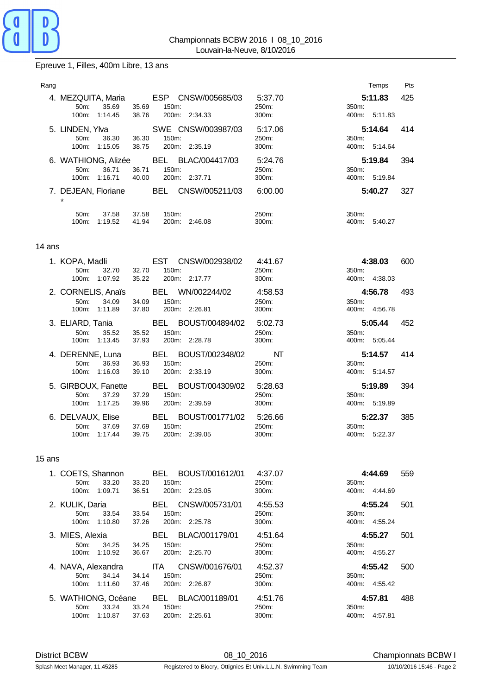

Epreuve 1, Filles, 400m Libre, 13 ans

| Rang   |                                                            |                         |                                      |                           | Temps                                | Pts |
|--------|------------------------------------------------------------|-------------------------|--------------------------------------|---------------------------|--------------------------------------|-----|
|        | 4. MEZQUITA, Maria<br>35.69<br>50m:<br>1:14.45<br>100m:    | 35.69<br>150m:<br>38.76 | ESP CNSW/005685/03<br>200m: 2:34.33  | 5:37.70<br>250m:<br>300m: | 5:11.83<br>350m:<br>5:11.83<br>400m: | 425 |
|        | 5. LINDEN, Ylva<br>50m:<br>36.30<br>1:15.05<br>100m:       | 36.30<br>150m:<br>38.75 | SWE CNSW/003987/03<br>200m: 2:35.19  | 5:17.06<br>250m:<br>300m: | 5:14.64<br>350m:<br>400m: 5:14.64    | 414 |
|        | 6. WATHIONG, Alizée<br>36.71<br>50m:<br>100m: 1:16.71      | 36.71<br>150m:<br>40.00 | BEL BLAC/004417/03<br>200m: 2:37.71  | 5:24.76<br>250m:<br>300m: | 5:19.84<br>350m.<br>400m: 5:19.84    | 394 |
|        | 7. DEJEAN, Floriane<br>$\star$                             |                         | BEL CNSW/005211/03                   | 6:00.00                   | 5:40.27                              | 327 |
|        | 37.58<br>50 <sub>m</sub> :<br>1:19.52<br>100m:             | 37.58<br>150m:<br>41.94 | 200m: 2:46.08                        | 250m:<br>300m:            | 350m:<br>400m: 5:40.27               |     |
| 14 ans |                                                            |                         |                                      |                           |                                      |     |
|        | 1. KOPA, Madli<br>32.70<br>$50m$ :<br>1:07.92<br>100m:     | 32.70<br>150m:<br>35.22 | 200m: 2:17.77                        | 4:41.67<br>250m:<br>300m: | 4:38.03<br>350m:<br>400m: 4:38.03    | 600 |
|        | 2. CORNELIS, Anaïs<br>34.09<br>50m:<br>1:11.89<br>$100m$ : | 34.09<br>150m:<br>37.80 | BEL WN/002244/02<br>200m: 2:26.81    | 4:58.53<br>250m:<br>300m: | 4:56.78<br>350m:<br>400m: 4:56.78    | 493 |
|        | 3. ELIARD, Tania<br>50m:<br>35.52<br>1:13.45<br>$100m$ :   | 150m:<br>35.52<br>37.93 | BEL BOUST/004894/02<br>200m: 2:28.78 | 5:02.73<br>250m:<br>300m: | 5:05.44<br>350m:<br>400m:<br>5:05.44 | 452 |
|        | 4. DERENNE, Luna                                           | BEL                     | BOUST/002348/02                      | NT                        | 5:14.57                              | 414 |

50m: 36.93 36.93 150m: 250m: 350m: 100m: 1:16.03 39.10 200m: 2:33.19 300m: 400m: 5:14.57 5. GIRBOUX, Fanette BEL BOUST/004309/02 5:28.63 **5:19.89** 394 50m: 37.29 37.29 150m: 250m: 350m:

| 100m 1:17.25 39.96 |       | 200m: 2:39.59               | 300m: | 400m: 5:19.89  |
|--------------------|-------|-----------------------------|-------|----------------|
| 6. DELVAUX. Elise  |       | BEL BOUST/001771/02 5:26.66 |       | 385<br>5:22.37 |
| $50m$ :<br>37.69   | 37.69 | 150m:                       | 250m: | 350m:          |
| 100m: 1:17.44      | 39.75 | 200m: 2:39.05               | 300m: | 400m: 5:22.37  |

#### 15 ans

| 1. COETS, Shannon          | BEL            | BOUST/001612/01 | 4:37.07 | 4:44.69          | 559 |
|----------------------------|----------------|-----------------|---------|------------------|-----|
| 50 <sub>m</sub><br>33.20   | 33.20<br>150m: |                 | 250m:   | 350m:            |     |
| 100m:<br>1:09.71           | 36.51<br>200m: | 2:23.05         | 300m:   | 400m:<br>4:44.69 |     |
| 2. KULIK, Daria            | <b>BEL</b>     | CNSW/005731/01  | 4:55.53 | 4:55.24          | 501 |
| 33.54<br>$50m$ :           | 150m:<br>33.54 |                 | 250m:   | 350 <sub>m</sub> |     |
| 100m:<br>1:10.80           | 37.26<br>200m: | 2:25.78         | 300m:   | 400m:<br>4:55.24 |     |
| 3. MIES, Alexia            | BEL            | BLAC/001179/01  | 4:51.64 | 4:55.27          | 501 |
| $50m$ :<br>34.25           | 150m:<br>34.25 |                 | 250m:   | 350m:            |     |
| 100m:<br>1:10.92           | 36.67<br>200m: | 2:25.70         | 300m:   | 400m:<br>4:55.27 |     |
| 4. NAVA, Alexandra         | ITA.           | CNSW/001676/01  | 4:52.37 | 4:55.42          | 500 |
| 34.14<br>50 <sub>m</sub> : | 150m:<br>34.14 |                 | 250m:   | 350m:            |     |
| 100m:<br>1:11.60           | 37.46<br>200m: | 2:26.87         | 300m:   | 400m:<br>4:55.42 |     |
| 5. WATHIONG, Océane        | BEL            | BLAC/001189/01  | 4:51.76 | 4:57.81          | 488 |
| 33.24<br>$50m$ :           | 33.24<br>150m: |                 | 250m:   | 350 <sub>m</sub> |     |
| 100m:<br>1:10.87           | 37.63<br>200m: | 2:25.61         | 300m:   | 4:57.81<br>400m: |     |

100m: 1:17.25 39.96 200m: 2:39.59 300m: 400m: 5:19.89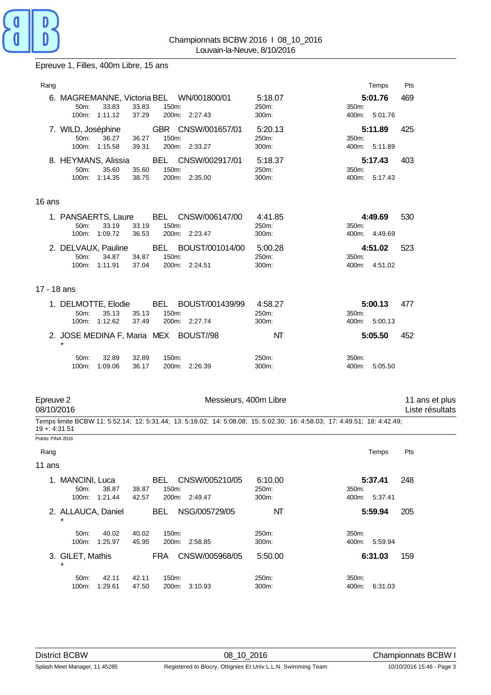

Epreuve 1, Filles, 400m Libre, 15 ans

| Rang                    |                                                                                                                           |                  | Temps                  | Pts                               |
|-------------------------|---------------------------------------------------------------------------------------------------------------------------|------------------|------------------------|-----------------------------------|
|                         |                                                                                                                           |                  |                        |                                   |
|                         | 6. MAGREMANNE, Victoria BEL WN/001800/01<br>50m:<br>33.83<br>33.83<br>150m:                                               | 5:18.07<br>250m: | 5:01.76<br>350m:       | 469                               |
|                         | 100m: 1:11.12<br>37.29<br>200m: 2:27.43                                                                                   | 300m:            | 400m: 5:01.76          |                                   |
|                         | GBR CNSW/001657/01<br>7. WILD, Joséphine                                                                                  | 5:20.13          | 5:11.89                | 425                               |
|                         | 50m:<br>36.27<br>150m:<br>36.27<br>100m: 1:15.58<br>39.31<br>200m: 2:33.27                                                | 250m:<br>300m:   | 350m:                  |                                   |
|                         |                                                                                                                           |                  | 400m: 5:11.89          |                                   |
|                         | CNSW/002917/01<br>8. HEYMANS, Alissia<br><b>BEL</b><br>50m:<br>35.60<br>35.60<br>150m:                                    | 5:18.37<br>250m: | 5:17.43<br>350m:       | 403                               |
|                         | 38.75<br>$100m$ :<br>1:14.35<br>200m: 2:35.00                                                                             | 300m:            | 400m:<br>5.17.43       |                                   |
|                         |                                                                                                                           |                  |                        |                                   |
| 16 ans                  |                                                                                                                           |                  |                        |                                   |
|                         | BEL CNSW/006147/00<br>1. PANSAERTS, Laure                                                                                 | 4:41.85          | 4:49.69                | 530                               |
|                         | 33.19<br>50 <sub>m</sub> :<br>33.19<br>150m:                                                                              | 250m:            | 350m:                  |                                   |
|                         | 100m:<br>1:09.72<br>36.53<br>200m: 2:23.47                                                                                | 300m:            | 400m: 4:49.69          |                                   |
|                         | BOUST/001014/00<br>2. DELVAUX, Pauline<br>BEL                                                                             | 5:00.28          | 4:51.02                | 523                               |
|                         | 34.87<br>150m:<br>50m:<br>34.87<br>100m: 1:11.91<br>37.04<br>200m: 2:24.51                                                | 250m:<br>300m:   | 350m:<br>400m: 4:51.02 |                                   |
|                         |                                                                                                                           |                  |                        |                                   |
|                         | 17 - 18 ans                                                                                                               |                  |                        |                                   |
|                         |                                                                                                                           |                  |                        |                                   |
|                         | BEL<br>1. DELMOTTE, Elodie<br>BOUST/001439/99<br>50m:<br>35.13<br>35.13<br>150m:                                          | 4:58.27<br>250m: | 5:00.13<br>350m:       | 477                               |
|                         | 100m:<br>1:12.62<br>37.49<br>200m: 2:27.74                                                                                | 300m:            | 400m: 5:00.13          |                                   |
|                         | 2. JOSE MEDINA F, Maria MEX BOUST//98                                                                                     | NT               | 5:05.50                | 452                               |
|                         |                                                                                                                           |                  |                        |                                   |
|                         | 50m:<br>32.89<br>32.89<br>150m:                                                                                           | 250m:            | 350m:                  |                                   |
|                         | 100m:<br>1:09.06<br>36.17<br>200m: 2:26.39                                                                                | 300m:            | 400m:<br>5:05.50       |                                   |
|                         |                                                                                                                           |                  |                        |                                   |
|                         |                                                                                                                           |                  |                        |                                   |
| Epreuve 2<br>08/10/2016 | Messieurs, 400m Libre                                                                                                     |                  |                        | 11 ans et plus<br>Liste résultats |
|                         | Temps limite BCBW 11: 5:52.14; 12: 5:31.44; 13: 5:18.02; 14: 5:08.08; 15: 5:02.30; 16: 4:58.03; 17: 4:49.51; 18: 4:42.49; |                  |                        |                                   |
| 19 +: 4:31.51           |                                                                                                                           |                  |                        |                                   |
| Points: FINA 2016       |                                                                                                                           |                  |                        |                                   |
| Rang                    |                                                                                                                           |                  | Temps                  | Pts                               |
| 11 ans                  |                                                                                                                           |                  |                        |                                   |
|                         | BEL CNSW/005210/05<br>1. MANCINI, Luca                                                                                    | 6:10.00          | 5:37.41                | 248                               |
|                         | 50m:<br>38.87<br>38.87<br>150m:                                                                                           | 250m:            | 350m:                  |                                   |
|                         | 100m: 1:21.44<br>42.57<br>200m: 2:49.47                                                                                   | 300m:            | 400m: 5:37.41          |                                   |
|                         | NSG/005729/05<br>2. ALLAUCA, Daniel<br>BEL.                                                                               | NT               | 5:59.94                | 205                               |
|                         |                                                                                                                           |                  |                        |                                   |
|                         |                                                                                                                           |                  |                        |                                   |

|         | 40.02<br>$50m$ :<br>100m: 1:25.97 | 40.02<br>45.95 | 150m:<br>200m: 2:58.85 | 250m:<br>300m: | $350m$ :<br>5:59.94<br>400m: |
|---------|-----------------------------------|----------------|------------------------|----------------|------------------------------|
| $\star$ | 3. GILET. Mathis                  | <b>FRA</b>     | CNSW/005968/05         | 5:50.00        | 159<br>6:31.03               |
|         | 42.11<br>$50m$ :                  | 42.11          | 150m:                  | 250m:          | $350m$ :                     |
|         | 100m:<br>1:29.61                  | 47.50          | 200m: 3:10.93          | 300m:          | 6:31.03<br>400m:             |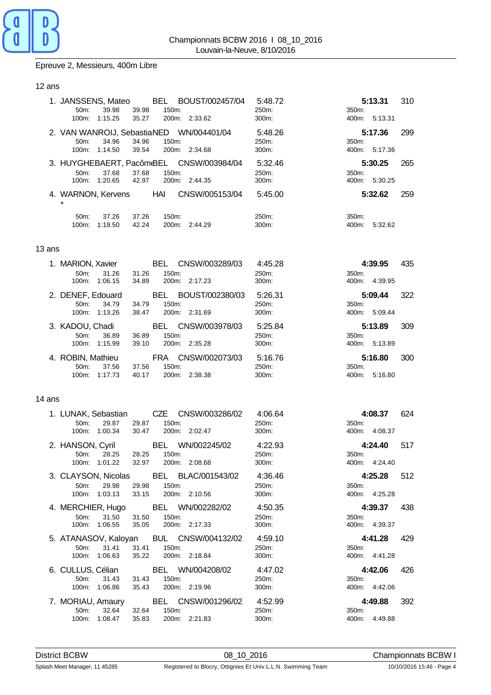

# Epreuve 2, Messieurs, 400m Libre

## 12 ans

|                      | 1. JANSSENS, Mateo      |                  |                | BEL   | BOUST/002457/04                           | 5:48.72          |                | 5:13.31 | 310 |
|----------------------|-------------------------|------------------|----------------|-------|-------------------------------------------|------------------|----------------|---------|-----|
|                      | 50 <sub>m</sub>         | 39.98            | 39.98          | 150m: |                                           | 250m:            | 350m:          |         |     |
|                      | 100m:                   | 1:15.25          | 35.27          | 200m: | 2:33.62                                   | 300m:            | 400m:          | 5:13.31 |     |
|                      | 50 <sub>m</sub>         | 34.96            | 34.96          | 150m: | 2. VAN WANROIJ, SebastiaNED WN/004401/04  | 5:48.26<br>250m: | 350m:          | 5:17.36 | 299 |
|                      | $100m$ :                | 1:14.50          | 39.54          |       | 200m: 2:34.68                             | 300m:            | 400m:          | 5:17.36 |     |
|                      |                         |                  |                |       | 3. HUYGHEBAERT, Pacôm (BEL CNSW/003984/04 | 5:32.46          |                | 5:30.25 | 265 |
|                      | 50m<br>100m:            | 37.68<br>1:20.65 | 37.68<br>42.97 | 150m. | 200m: 2:44.35                             | 250m:<br>300m:   | 350m:<br>400m: | 5:30.25 |     |
|                      | 4. WARNON, Kervens<br>* |                  |                | HAI   | CNSW/005153/04                            | 5:45.00          |                | 5:32.62 | 259 |
|                      | $50m$ :                 | 37.26            | 37.26          | 150m: |                                           | 250m:            | 350m:          |         |     |
|                      | 100m:                   | 1:19.50          | 42.24          | 200m: | 2:44.29                                   | 300m:            | 400m:          | 5.32.62 |     |
|                      |                         |                  |                |       |                                           |                  |                |         |     |
| $\sim$ $\sim$ $\sim$ |                         |                  |                |       |                                           |                  |                |         |     |

# 13 ans

| 1. MARION, Xavier                                            | BEL<br>CNSW/003289/03                                                       | 4:45.28                   | 435<br>4:39.95                              |
|--------------------------------------------------------------|-----------------------------------------------------------------------------|---------------------------|---------------------------------------------|
| 50m:<br>31.26<br>1:06.15<br>100m:                            | 150m:<br>31.26<br>2:17.23<br>34.89<br>200m:                                 | 250m:<br>300m:            | $350m$ :<br>4:39.95<br>400m:                |
| 2. DENEF, Edouard<br>$50m$ :<br>34.79<br>100m: 1:13.26       | BOUST/002380/03<br>BEL<br>$150m$ :<br>34.79<br>2:31.69<br>38.47<br>200m:    | 5:26.31<br>250m:<br>300m: | 322<br>5:09.44<br>350m:<br>5:09.44<br>400m: |
| 3. KADOU, Chadi<br>36.89<br>$50m$ :<br>1:15.99<br>$100m$ :   | CNSW/003978/03<br>BEL.<br>150m:<br>36.89<br>39.10<br>200m:<br>2:35.28       | 5:25.84<br>250m:<br>300m: | 5:13.89<br>309<br>350m.<br>5:13.89<br>400m: |
| 4. ROBIN, Mathieu<br>37.56<br>$50m$ :<br>$100m$ :<br>1:17.73 | CNSW/002073/03<br><b>FRA</b><br>150m:<br>37.56<br>40.17<br>2:38.38<br>200m: | 5:16.76<br>250m:<br>300m: | 300<br>5:16.80<br>350m:<br>5:16.80<br>400m: |

#### 14 ans

| 29.87<br>$50m$ :<br>29.87<br>1:00.34<br>$100m$ :<br>30.47                                       | 1. LUNAK, Sebastian CZE CNSW/003286/02<br>150m:<br>200m: 2:02.47  | 4:06.64<br>250m:<br>300m: | 4:08.37<br>350m:<br>400m: 4:08.37    | 624 |
|-------------------------------------------------------------------------------------------------|-------------------------------------------------------------------|---------------------------|--------------------------------------|-----|
| $50m$ :<br>28.25<br>28.25<br>1:01.22<br>32.97<br>$100m$ :                                       | 2. HANSON, Cyril BEL WN/002245/02<br>150m:<br>200m: 2:08.68       | 4:22.93<br>250m:<br>300m: | 4:24.40<br>350m:<br>400m: 4:24.40    | 517 |
| 3. CLAYSON, Nicolas BEL BLAC/001543/02<br>29.98<br>50m:<br>29.98<br>100m: 1:03.13<br>33.15      | 150m:<br>200m: 2:10.56                                            | 4:36.46<br>250m:<br>300m: | 4:25.28<br>350m:<br>400m: 4:25.28    | 512 |
| 4. MERCHIER, Hugo BEL WN/002282/02<br>31.50<br>31.50<br>$50m$ :<br>1:06.55<br>35.05<br>$100m$ : | 150m:<br>200m: 2:17.33                                            | 4:50.35<br>250m:<br>300m: | 4:39.37<br>350m:<br>400m: 4:39.37    | 438 |
| 31.41<br>$50m$ :<br>31.41<br>100m: 1:06.63<br>35.22                                             | 5. ATANASOV, Kaloyan BUL CNSW/004132/02<br>150m:<br>200m: 2:18.84 | 4:59.10<br>250m:<br>300m: | 4:41.28<br>350m:<br>400m: 4:41.28    | 429 |
| 6. CULLUS, Célian BEL WN/004208/02<br>31.43<br>$50m$ :<br>31.43<br>$100m$ :<br>1:06.86<br>35.43 | 150m:<br>200m: 2:19.96                                            | 4:47.02<br>250m:<br>300m: | 4:42.06<br>350m.<br>400m:<br>4:42.06 | 426 |
| 32.64<br>$50m$ :<br>32.64<br>100m: 1:08.47<br>35.83                                             | 7. MORIAU, Amaury BEL CNSW/001296/02<br>150m:<br>200m: 2:21.83    | 4:52.99<br>250m:<br>300m: | 4:49.88<br>350m:<br>400m:<br>4:49.88 | 392 |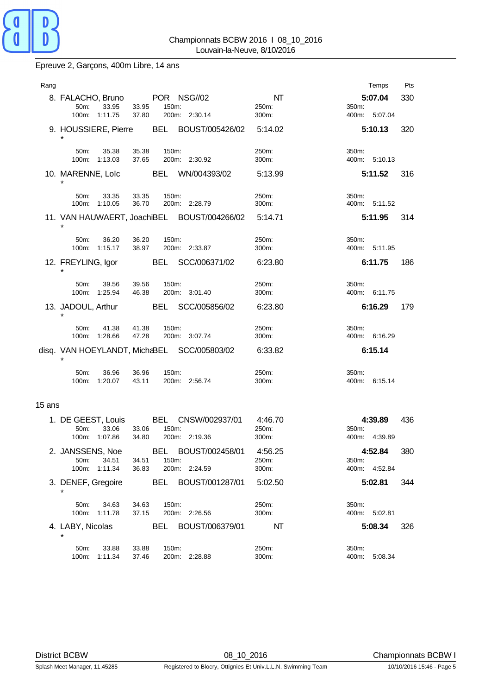

Epreuve 2, Garçons, 400m Libre, 14 ans

| Rang   |                                                         |                  |                |       |                                                               |                           |                | Temps                        | Pts |
|--------|---------------------------------------------------------|------------------|----------------|-------|---------------------------------------------------------------|---------------------------|----------------|------------------------------|-----|
|        | 8. FALACHO, Bruno<br>50 <sub>m</sub> :<br>100m: 1:11.75 | 33.95            | 33.95<br>37.80 | 150m: | POR NSG//02<br>200m: 2:30.14                                  | NT<br>250m:<br>300m:      | 350m:          | 5:07.04<br>400m: 5:07.04     | 330 |
|        | 9. HOUSSIERE, Pierre                                    |                  |                |       | BEL BOUST/005426/02                                           | 5:14.02                   |                | 5:10.13                      | 320 |
|        | 50m:<br>100m: 1:13.03                                   | 35.38            | 35.38<br>37.65 | 150m: | 200m: 2:30.92                                                 | 250m:<br>300m:            | 350m:          | 400m: 5:10.13                |     |
|        | 10. MARENNE, Loïc                                       |                  |                |       | BEL WN/004393/02                                              | 5:13.99                   |                | 5:11.52                      | 316 |
|        | 50m:<br>100m:                                           | 33.35<br>1:10.05 | 33.35<br>36.70 | 150m: | 200m: 2:28.79                                                 | 250m:<br>300m:            | 350m:          | 400m: 5:11.52                |     |
|        |                                                         |                  |                |       | 11. VAN HAUWAERT, JoachiBEL BOUST/004266/02                   | 5:14.71                   |                | 5:11.95                      | 314 |
|        | 50m:<br>100m: 1:15.17                                   | 36.20            | 36.20<br>38.97 | 150m: | 200m: 2:33.87                                                 | 250m:<br>300m:            | 350m:          | 400m: 5:11.95                |     |
|        | 12. FREYLING, Igor                                      |                  |                |       | BEL SCC/006371/02                                             | 6:23.80                   |                | 6:11.75                      | 186 |
|        | 50m:<br>100m:                                           | 39.56<br>1:25.94 | 39.56<br>46.38 | 150m: | 200m: 3:01.40                                                 | 250m:<br>300m:            | 350m:          | 400m: 6:11.75                |     |
|        | 13. JADOUL, Arthur                                      |                  |                |       | BEL SCC/005856/02                                             | 6:23.80                   |                | 6:16.29                      | 179 |
|        | 50m:<br>100m: 1:28.66                                   | 41.38            | 41.38<br>47.28 | 150m: | 200m: 3:07.74                                                 | 250m:<br>300m:            | 350m:          | 400m: 6.16.29                |     |
|        |                                                         |                  |                |       | disq. VAN HOEYLANDT, MichaBEL SCC/005803/02                   | 6:33.82                   |                | 6:15.14                      |     |
|        | 50m:<br>100m: 1:20.07                                   | 36.96            | 36.96<br>43.11 | 150m: | 200m: 2:56.74                                                 | 250m:<br>300m:            | 350m:<br>400m: | 6:15.14                      |     |
| 15 ans |                                                         |                  |                |       |                                                               |                           |                |                              |     |
|        | 1. DE GEEST, Louis<br>50m:<br>100m: 1:07.86             | 33.06            | 33.06<br>34.80 | 150m: | BEL CNSW/002937/01<br>200m: 2:19.36                           | 4:46.70<br>250m:<br>300m: | 350m:          | 4:39.89<br>400m: 4:39.89     | 436 |
|        | 50m:<br>100m: 1:11.34                                   | 34.51            | 34.51<br>36.83 | 150m: | 2. JANSSENS, Noe BEL BOUST/002458/01 4:56.25<br>200m: 2:24.59 | 250m:<br>300m:            | 350m:          | 4:52.84 380<br>400m: 4:52.84 |     |
|        | 3. DENEF, Gregoire                                      |                  |                |       | BEL BOUST/001287/01                                           | 5:02.50                   |                | 5:02.81                      | 344 |
|        | 50 <sub>m</sub> :<br>100m: 1:11.78                      | 34.63            | 34.63<br>37.15 | 150m: | 200m: 2:26.56                                                 | 250m:<br>300m:            | 350m:          | 400m: 5:02.81                |     |
|        | 4. LABY, Nicolas                                        |                  |                |       | BEL BOUST/006379/01                                           | $\mathsf{M}\mathsf{T}$    |                | 5:08.34                      | 326 |
|        | 50m:<br>100m:                                           | 33.88<br>1:11.34 | 33.88<br>37.46 | 150m: | 200m: 2:28.88                                                 | 250m:<br>300m:            | 350m:<br>400m: | 5:08.34                      |     |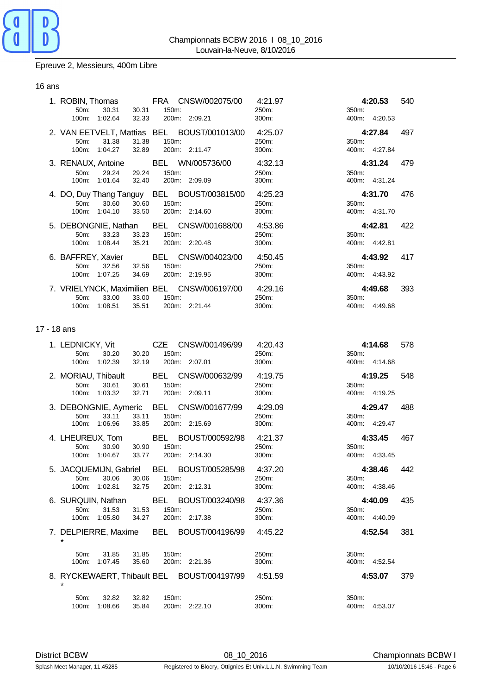

# Epreuve 2, Messieurs, 400m Libre

# 16 ans

|             | 30.31<br>30.31<br>100m: 1:02.64<br>32.33                                                | 1. ROBIN, Thomas FRA CNSW/002075/00 4:21.97<br>50m: 30.31 30.31 150m: 250m: 250m:<br>200m: 2:09.21 | 250m:<br>300m:            | 4:20.53<br>350m:<br>400m: 4:20.53 | 540 |
|-------------|-----------------------------------------------------------------------------------------|----------------------------------------------------------------------------------------------------|---------------------------|-----------------------------------|-----|
|             | 50m:<br>31.38<br>31.38<br>100m: 1:04.27<br>32.89                                        | 2. VAN EETVELT, Mattias BEL BOUST/001013/00 4:25.07<br>150m:<br>200m: 2:11.47                      | 250m:<br>300m:            | 4:27.84<br>350m:<br>400m: 4:27.84 | 497 |
|             | 3. RENAUX, Antoine BEL WN/005736/00<br>50m:<br>29.24<br>29.24<br>100m: 1:01.64<br>32.40 | 150m:<br>200m: 2:09.09                                                                             | 4:32.13<br>250m:<br>300m: | 4:31.24<br>350m:<br>400m: 4:31.24 | 479 |
|             | 30.60<br>30.60<br>50m:<br>100m: 1:04.10<br>33.50                                        | 4. DO, Duy Thang Tanguy BEL BOUST/003815/00 4:25.23<br>150m:<br>200m: 2:14.60                      | 250m:<br>300m:            | 4:31.70<br>350m:<br>400m: 4:31.70 | 476 |
|             | 33.23<br>33.23<br>50m:<br>35.21<br>100m: 1:08.44                                        | 5. DEBONGNIE, Nathan BEL CNSW/001688/00 4:53.86<br>150m:<br>200m: 2:20.48                          | 250m:<br>300m:            | 4:42.81<br>350m:<br>400m: 4:42.81 | 422 |
|             | 32.56<br>50m:<br>32.56<br>100m: 1:07.25 34.69                                           | 6. BAFFREY, Xavier BEL CNSW/004023/00 4:50.45<br>150m:<br>200m: 2:19.95                            | 250m:<br>300m:            | 4:43.92<br>350m:<br>400m: 4:43.92 | 417 |
|             | 33.00<br>50m: 33.00<br>100m: 1:08.51<br>35.51                                           | 7. VRIELYNCK, Maximilien BEL CNSW/006197/00 4:29.16<br>150m:<br>200m: 2:21.44                      | 250m:<br>300m:            | 4:49.68<br>350m:<br>400m: 4:49.68 | 393 |
| 17 - 18 ans |                                                                                         |                                                                                                    |                           |                                   |     |
|             | 30.20<br>50m:<br>30.20<br>100m: 1:02.39<br>32.19                                        | 1. LEDNICKY, Vit CZE CNSW/001496/99 4:20.43<br>150m:<br>200m: 2:07.01                              | 250m:<br>300m:            | 4:14.68<br>350m:<br>400m: 4:14.68 | 578 |
|             | 30.61<br>50m:<br>30.61<br>100m: 1:03.32 32.71 200m: 2:09.11                             | 2. MORIAU, Thibault BEL CNSW/000632/99 4:19.75<br>150m:                                            | 250m:<br>300m:            | 4:19.25<br>350m:<br>400m: 4:19.25 | 548 |
|             | 33.11<br>50m:<br>33.11<br>100m: 1:06.96<br>33.85                                        | 3. DEBONGNIE, Aymeric BEL CNSW/001677/99 4:29.09<br>150m:<br>200m: 2:15.69                         | 250m:<br>300m:            | 4:29.47<br>350m:<br>400m: 4:29.47 | 488 |
|             | 30.90<br>30.90<br>50m:<br>33.77<br>100m: 1:04.67                                        | 4. LHEUREUX, Tom BEL BOUST/000592/98 4:21.37<br>150m:<br>200m: 2:14.30                             | 250m:<br>300m:            | 4:33.45<br>350m:<br>400m: 4:33.45 | 467 |
|             | 30.06<br>30.06<br>50m:<br>100m: 1:02.81<br>32.75                                        | 5. JACQUEMIJN, Gabriel BEL BOUST/005285/98<br>150m:<br>200m: 2:12.31                               | 4:37.20<br>250m:<br>300m: | 4:38.46<br>350m:<br>400m: 4:38.46 | 442 |
|             | 6. SURQUIN, Nathan<br>31.53<br>31.53<br>50m:<br>100m: 1:05.80<br>34.27                  | <b>BEL</b><br>BOUST/003240/98<br>150m:<br>200m: 2:17.38                                            | 4:37.36<br>250m:<br>300m: | 4:40.09<br>350m:<br>400m: 4:40.09 | 435 |
|             |                                                                                         | 7. DELPIERRE, Maxime BEL BOUST/004196/99                                                           | 4:45.22                   | 4:52.54                           | 381 |
|             | 50m:<br>31.85<br>31.85<br>35.60<br>100m:<br>1:07.45                                     | 150m:<br>200m: 2:21.36                                                                             | 250m:<br>300m:            | 350m:<br>400m: 4:52.54            |     |
|             |                                                                                         | 8. RYCKEWAERT, Thibault BEL BOUST/004197/99                                                        | 4:51.59                   | 4:53.07                           | 379 |
|             | 32.82<br>50m:<br>32.82<br>100m:<br>1:08.66<br>35.84                                     | 150m:<br>200m: 2:22.10                                                                             | 250m:<br>300m:            | 350m:<br>400m:<br>4:53.07         |     |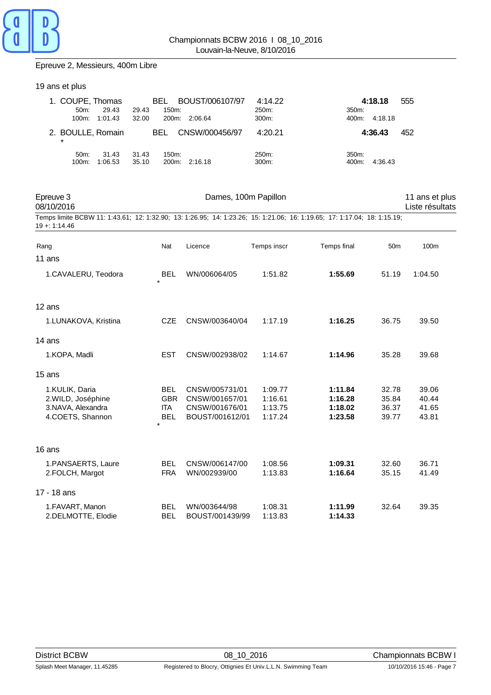

### Epreuve 2, Messieurs, 400m Libre

# 19 ans et plus 1. COUPE, Thomas BEL BOUST/006107/97 4:14.22 **4:18.18** 555 50m: 29.43 29.43 150m: 250m: 350m: 100m: 1:01.43 32.00 200m: 2:06.64 300m: 400m: 4:18.18 2. BOULLE, Romain BEL CNSW/000456/97 4:20.21 **4:36.43** 452 *\** 50m: 31.43 31.43 150m: 250m: 350m: 100m: 1:06.53 35.10 200m: 2:16.18 300m: 4:36.43 400m: 4:36.43

| Epreuve 3<br>08/10/2016                                                                                                                     |            | Dames, 100m Papillon |             |             |                 | 11 ans et plus<br>Liste résultats |
|---------------------------------------------------------------------------------------------------------------------------------------------|------------|----------------------|-------------|-------------|-----------------|-----------------------------------|
| Temps limite BCBW 11: 1:43.61; 12: 1:32.90; 13: 1:26.95; 14: 1:23.26; 15: 1:21.06; 16: 1:19.65; 17: 1:17.04; 18: 1:15.19;<br>$19 + 1:14.46$ |            |                      |             |             |                 |                                   |
| Rang                                                                                                                                        | Nat        | Licence              | Temps inscr | Temps final | 50 <sub>m</sub> | 100m                              |
| 11 ans                                                                                                                                      |            |                      |             |             |                 |                                   |
| 1.CAVALERU, Teodora                                                                                                                         | <b>BEL</b> | WN/006064/05         | 1:51.82     | 1:55.69     | 51.19           | 1:04.50                           |
| 12 ans                                                                                                                                      |            |                      |             |             |                 |                                   |
| 1.LUNAKOVA, Kristina                                                                                                                        | <b>CZE</b> | CNSW/003640/04       | 1:17.19     | 1:16.25     | 36.75           | 39.50                             |
| 14 ans                                                                                                                                      |            |                      |             |             |                 |                                   |
| 1.KOPA, Madli                                                                                                                               | <b>EST</b> | CNSW/002938/02       | 1:14.67     | 1:14.96     | 35.28           | 39.68                             |
| 15 ans                                                                                                                                      |            |                      |             |             |                 |                                   |
| 1.KULIK, Daria                                                                                                                              | <b>BEL</b> | CNSW/005731/01       | 1:09.77     | 1:11.84     | 32.78           | 39.06                             |
| 2.WILD, Joséphine                                                                                                                           | <b>GBR</b> | CNSW/001657/01       | 1:16.61     | 1:16.28     | 35.84           | 40.44                             |
| 3.NAVA, Alexandra                                                                                                                           | <b>ITA</b> | CNSW/001676/01       | 1:13.75     | 1:18.02     | 36.37           | 41.65                             |
| 4.COETS, Shannon                                                                                                                            | <b>BEL</b> | BOUST/001612/01      | 1:17.24     | 1:23.58     | 39.77           | 43.81                             |
| 16 ans                                                                                                                                      |            |                      |             |             |                 |                                   |
| 1.PANSAERTS, Laure                                                                                                                          | <b>BEL</b> | CNSW/006147/00       | 1:08.56     | 1:09.31     | 32.60           | 36.71                             |
| 2.FOLCH, Margot                                                                                                                             | <b>FRA</b> | WN/002939/00         | 1:13.83     | 1:16.64     | 35.15           | 41.49                             |
| 17 - 18 ans                                                                                                                                 |            |                      |             |             |                 |                                   |
| 1. FAVART, Manon                                                                                                                            | <b>BEL</b> | WN/003644/98         | 1:08.31     | 1:11.99     | 32.64           | 39.35                             |
| 2.DELMOTTE, Elodie                                                                                                                          | <b>BEL</b> | BOUST/001439/99      | 1:13.83     | 1:14.33     |                 |                                   |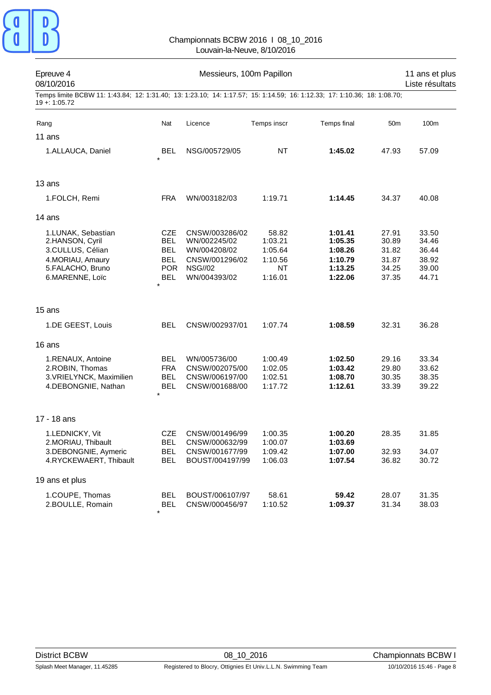

# Championnats BCBW 2016 I 08\_10\_2016 Louvain-la-Neuve, 8/10/2016

| Epreuve 4<br>Messieurs, 100m Papillon<br>08/10/2016                                                                                         |                                                                                  |                                                                                                    |                                                                |                                                                |                                                    | 11 ans et plus<br>Liste résultats                  |  |
|---------------------------------------------------------------------------------------------------------------------------------------------|----------------------------------------------------------------------------------|----------------------------------------------------------------------------------------------------|----------------------------------------------------------------|----------------------------------------------------------------|----------------------------------------------------|----------------------------------------------------|--|
| Temps limite BCBW 11: 1:43.84; 12: 1:31.40; 13: 1:23.10; 14: 1:17.57; 15: 1:14.59; 16: 1:12.33; 17: 1:10.36; 18: 1:08.70;<br>$19 + 1.05.72$ |                                                                                  |                                                                                                    |                                                                |                                                                |                                                    |                                                    |  |
| Rang                                                                                                                                        | Nat                                                                              | Licence                                                                                            | Temps inscr                                                    | Temps final                                                    | 50 <sub>m</sub>                                    | 100m                                               |  |
| 11 ans                                                                                                                                      |                                                                                  |                                                                                                    |                                                                |                                                                |                                                    |                                                    |  |
| 1.ALLAUCA, Daniel                                                                                                                           | <b>BEL</b>                                                                       | NSG/005729/05                                                                                      | <b>NT</b>                                                      | 1:45.02                                                        | 47.93                                              | 57.09                                              |  |
| 13 ans                                                                                                                                      |                                                                                  |                                                                                                    |                                                                |                                                                |                                                    |                                                    |  |
| 1.FOLCH, Remi                                                                                                                               | <b>FRA</b>                                                                       | WN/003182/03                                                                                       | 1:19.71                                                        | 1:14.45                                                        | 34.37                                              | 40.08                                              |  |
| 14 ans                                                                                                                                      |                                                                                  |                                                                                                    |                                                                |                                                                |                                                    |                                                    |  |
| 1.LUNAK, Sebastian<br>2.HANSON, Cyril<br>3.CULLUS, Célian<br>4.MORIAU, Amaury<br>5.FALACHO, Bruno<br>6.MARENNE, Loïc                        | <b>CZE</b><br><b>BEL</b><br><b>BEL</b><br><b>BEL</b><br><b>POR</b><br><b>BEL</b> | CNSW/003286/02<br>WN/002245/02<br>WN/004208/02<br>CNSW/001296/02<br><b>NSG//02</b><br>WN/004393/02 | 58.82<br>1:03.21<br>1:05.64<br>1:10.56<br><b>NT</b><br>1:16.01 | 1:01.41<br>1:05.35<br>1:08.26<br>1:10.79<br>1:13.25<br>1:22.06 | 27.91<br>30.89<br>31.82<br>31.87<br>34.25<br>37.35 | 33.50<br>34.46<br>36.44<br>38.92<br>39.00<br>44.71 |  |
| 15 ans                                                                                                                                      |                                                                                  |                                                                                                    |                                                                |                                                                |                                                    |                                                    |  |
| 1.DE GEEST, Louis                                                                                                                           | <b>BEL</b>                                                                       | CNSW/002937/01                                                                                     | 1:07.74                                                        | 1:08.59                                                        | 32.31                                              | 36.28                                              |  |
| 16 ans                                                                                                                                      |                                                                                  |                                                                                                    |                                                                |                                                                |                                                    |                                                    |  |
| 1.RENAUX, Antoine<br>2.ROBIN, Thomas<br>3. VRIELYNCK, Maximilien<br>4.DEBONGNIE, Nathan                                                     | <b>BEL</b><br><b>FRA</b><br><b>BEL</b><br><b>BEL</b>                             | WN/005736/00<br>CNSW/002075/00<br>CNSW/006197/00<br>CNSW/001688/00                                 | 1:00.49<br>1:02.05<br>1:02.51<br>1:17.72                       | 1:02.50<br>1:03.42<br>1:08.70<br>1:12.61                       | 29.16<br>29.80<br>30.35<br>33.39                   | 33.34<br>33.62<br>38.35<br>39.22                   |  |
| 17 - 18 ans                                                                                                                                 |                                                                                  |                                                                                                    |                                                                |                                                                |                                                    |                                                    |  |
| 1.LEDNICKY, Vit<br>2. MORIAU, Thibault<br>3.DEBONGNIE, Aymeric<br>4.RYCKEWAERT, Thibault                                                    | CZE.<br>BEL<br><b>BEL</b><br><b>BEL</b>                                          | CNSW/001496/99<br>CNSW/000632/99<br>CNSW/001677/99<br>BOUST/004197/99                              | 1:00.35<br>1:00.07<br>1:09.42<br>1:06.03                       | 1:00.20<br>1:03.69<br>1:07.00<br>1:07.54                       | 28.35<br>32.93<br>36.82                            | 31.85<br>34.07<br>30.72                            |  |
| 19 ans et plus                                                                                                                              |                                                                                  |                                                                                                    |                                                                |                                                                |                                                    |                                                    |  |
| 1.COUPE, Thomas<br>2.BOULLE, Romain                                                                                                         | <b>BEL</b><br><b>BEL</b><br>$\star$                                              | BOUST/006107/97<br>CNSW/000456/97                                                                  | 58.61<br>1:10.52                                               | 59.42<br>1:09.37                                               | 28.07<br>31.34                                     | 31.35<br>38.03                                     |  |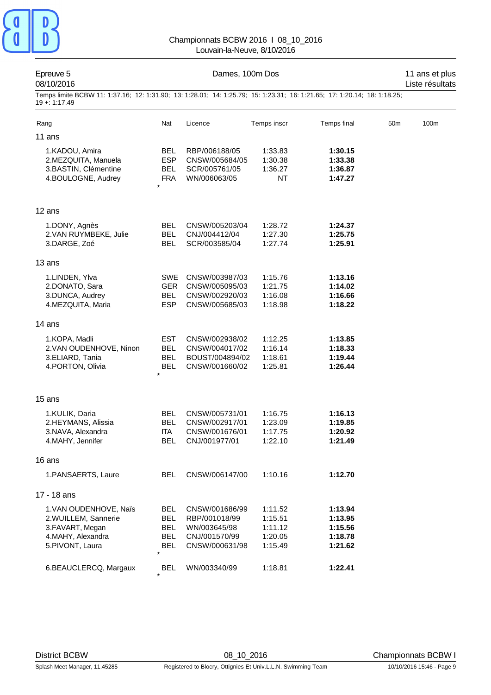| Epreuve 5<br>08/10/2016                                                                                                                     | Dames, 100m Dos                                                               |                                                                                    |                                                     |                                                     |                 |      |
|---------------------------------------------------------------------------------------------------------------------------------------------|-------------------------------------------------------------------------------|------------------------------------------------------------------------------------|-----------------------------------------------------|-----------------------------------------------------|-----------------|------|
| Temps limite BCBW 11: 1:37.16; 12: 1:31.90; 13: 1:28.01; 14: 1:25.79; 15: 1:23.31; 16: 1:21.65; 17: 1:20.14; 18: 1:18.25;<br>$19 + 1.17.49$ |                                                                               |                                                                                    |                                                     |                                                     |                 |      |
| Rang                                                                                                                                        | Nat                                                                           | Licence                                                                            | Temps inscr                                         | Temps final                                         | 50 <sub>m</sub> | 100m |
| 11 ans                                                                                                                                      |                                                                               |                                                                                    |                                                     |                                                     |                 |      |
| 1.KADOU, Amira<br>2.MEZQUITA, Manuela<br>3.BASTIN, Clémentine<br>4.BOULOGNE, Audrey                                                         | <b>BEL</b><br><b>ESP</b><br><b>BEL</b><br><b>FRA</b>                          | RBP/006188/05<br>CNSW/005684/05<br>SCR/005761/05<br>WN/006063/05                   | 1:33.83<br>1:30.38<br>1:36.27<br><b>NT</b>          | 1:30.15<br>1:33.38<br>1:36.87<br>1:47.27            |                 |      |
| 12 ans                                                                                                                                      |                                                                               |                                                                                    |                                                     |                                                     |                 |      |
| 1.DONY, Agnès<br>2. VAN RUYMBEKE, Julie<br>3.DARGE, Zoé                                                                                     | <b>BEL</b><br><b>BEL</b><br><b>BEL</b>                                        | CNSW/005203/04<br>CNJ/004412/04<br>SCR/003585/04                                   | 1:28.72<br>1:27.30<br>1:27.74                       | 1:24.37<br>1:25.75<br>1:25.91                       |                 |      |
| 13 ans                                                                                                                                      |                                                                               |                                                                                    |                                                     |                                                     |                 |      |
| 1.LINDEN, Ylva<br>2.DONATO, Sara<br>3.DUNCA, Audrey<br>4.MEZQUITA, Maria                                                                    | SWE<br><b>GER</b><br><b>BEL</b><br><b>ESP</b>                                 | CNSW/003987/03<br>CNSW/005095/03<br>CNSW/002920/03<br>CNSW/005685/03               | 1:15.76<br>1:21.75<br>1:16.08<br>1:18.98            | 1:13.16<br>1:14.02<br>1:16.66<br>1:18.22            |                 |      |
| 14 ans                                                                                                                                      |                                                                               |                                                                                    |                                                     |                                                     |                 |      |
| 1.KOPA, Madli<br>2. VAN OUDENHOVE, Ninon<br>3.ELIARD, Tania<br>4. PORTON, Olivia                                                            | <b>EST</b><br><b>BEL</b><br><b>BEL</b><br><b>BEL</b>                          | CNSW/002938/02<br>CNSW/004017/02<br>BOUST/004894/02<br>CNSW/001660/02              | 1:12.25<br>1:16.14<br>1:18.61<br>1:25.81            | 1:13.85<br>1:18.33<br>1:19.44<br>1:26.44            |                 |      |
| 15 ans                                                                                                                                      |                                                                               |                                                                                    |                                                     |                                                     |                 |      |
| 1.KULIK, Daria<br>2.HEYMANS, Alissia<br>3.NAVA, Alexandra<br>4.MAHY, Jennifer                                                               | <b>BEL</b><br><b>BEL</b><br><b>ITA</b><br><b>BEL</b>                          | CNSW/005731/01<br>CNSW/002917/01<br>CNSW/001676/01<br>CNJ/001977/01                | 1:16.75<br>1:23.09<br>1:17.75<br>1:22.10            | 1:16.13<br>1:19.85<br>1:20.92<br>1:21.49            |                 |      |
| 16 ans                                                                                                                                      |                                                                               |                                                                                    |                                                     |                                                     |                 |      |
| 1.PANSAERTS, Laure                                                                                                                          | <b>BEL</b>                                                                    | CNSW/006147/00                                                                     | 1:10.16                                             | 1:12.70                                             |                 |      |
| 17 - 18 ans                                                                                                                                 |                                                                               |                                                                                    |                                                     |                                                     |                 |      |
| 1. VAN OUDENHOVE, Naïs<br>2. WUILLEM, Sannerie<br>3.FAVART, Megan<br>4.MAHY, Alexandra<br>5.PIVONT, Laura                                   | <b>BEL</b><br><b>BEL</b><br><b>BEL</b><br><b>BEL</b><br><b>BEL</b><br>$\star$ | CNSW/001686/99<br>RBP/001018/99<br>WN/003645/98<br>CNJ/001570/99<br>CNSW/000631/98 | 1:11.52<br>1:15.51<br>1:11.12<br>1:20.05<br>1:15.49 | 1:13.94<br>1:13.95<br>1:15.56<br>1:18.78<br>1:21.62 |                 |      |
| 6.BEAUCLERCQ, Margaux                                                                                                                       | <b>BEL</b>                                                                    | WN/003340/99                                                                       | 1:18.81                                             | 1:22.41                                             |                 |      |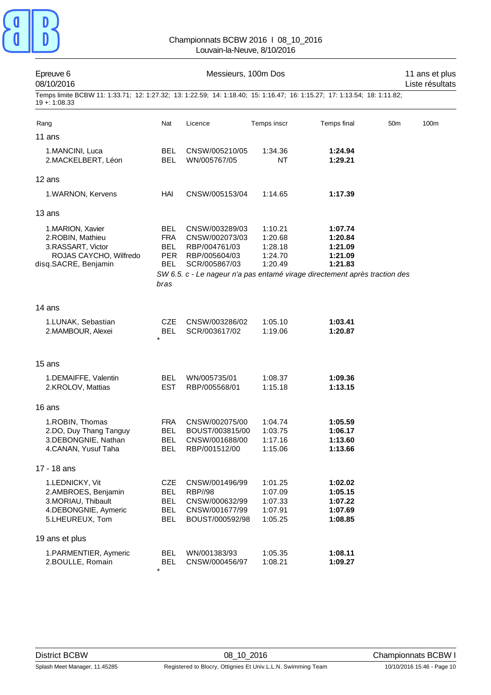| Epreuve 6<br>08/10/2016                                                                                                                    | Messieurs, 100m Dos                                                  |                                                                                         |                                                     |                                                                                                                                   |                 | 11 ans et plus<br>Liste résultats |  |  |
|--------------------------------------------------------------------------------------------------------------------------------------------|----------------------------------------------------------------------|-----------------------------------------------------------------------------------------|-----------------------------------------------------|-----------------------------------------------------------------------------------------------------------------------------------|-----------------|-----------------------------------|--|--|
| Temps limite BCBW 11: 1:33.71; 12: 1:27.32; 13: 1:22.59; 14: 1:18.40; 15: 1:16.47; 16: 1:15.27; 17: 1:13.54; 18: 1:11.82;<br>19 +: 1:08.33 |                                                                      |                                                                                         |                                                     |                                                                                                                                   |                 |                                   |  |  |
| Rang                                                                                                                                       | Nat                                                                  | Licence                                                                                 | Temps inscr                                         | Temps final                                                                                                                       | 50 <sub>m</sub> | 100m                              |  |  |
| 11 ans                                                                                                                                     |                                                                      |                                                                                         |                                                     |                                                                                                                                   |                 |                                   |  |  |
| 1.MANCINI, Luca<br>2.MACKELBERT, Léon                                                                                                      | BEL.<br><b>BEL</b>                                                   | CNSW/005210/05<br>WN/005767/05                                                          | 1:34.36<br><b>NT</b>                                | 1:24.94<br>1:29.21                                                                                                                |                 |                                   |  |  |
| 12 ans                                                                                                                                     |                                                                      |                                                                                         |                                                     |                                                                                                                                   |                 |                                   |  |  |
| 1. WARNON, Kervens                                                                                                                         | HAI                                                                  | CNSW/005153/04                                                                          | 1:14.65                                             | 1:17.39                                                                                                                           |                 |                                   |  |  |
| 13 ans                                                                                                                                     |                                                                      |                                                                                         |                                                     |                                                                                                                                   |                 |                                   |  |  |
| 1.MARION, Xavier<br>2.ROBIN, Mathieu<br>3.RASSART, Victor<br>ROJAS CAYCHO, Wilfredo<br>disq.SACRE, Benjamin                                | <b>BEL</b><br><b>FRA</b><br><b>BEL</b><br><b>PER</b><br>BEL.<br>bras | CNSW/003289/03<br>CNSW/002073/03<br>RBP/004761/03<br>RBP/005604/03<br>SCR/005867/03     | 1:10.21<br>1:20.68<br>1:28.18<br>1:24.70<br>1:20.49 | 1:07.74<br>1:20.84<br>1:21.09<br>1:21.09<br>1:21.83<br>SW 6.5. c - Le nageur n'a pas entamé virage directement après traction des |                 |                                   |  |  |
| 14 ans                                                                                                                                     |                                                                      |                                                                                         |                                                     |                                                                                                                                   |                 |                                   |  |  |
| 1.LUNAK, Sebastian<br>2.MAMBOUR, Alexei                                                                                                    | <b>CZE</b><br><b>BEL</b><br>$\star$                                  | CNSW/003286/02<br>SCR/003617/02                                                         | 1:05.10<br>1:19.06                                  | 1:03.41<br>1:20.87                                                                                                                |                 |                                   |  |  |
| 15 ans                                                                                                                                     |                                                                      |                                                                                         |                                                     |                                                                                                                                   |                 |                                   |  |  |
| 1. DEMAIFFE, Valentin<br>2.KROLOV, Mattias                                                                                                 | <b>BEL</b><br><b>EST</b>                                             | WN/005735/01<br>RBP/005568/01                                                           | 1:08.37<br>1:15.18                                  | 1:09.36<br>1:13.15                                                                                                                |                 |                                   |  |  |
| 16 ans                                                                                                                                     |                                                                      |                                                                                         |                                                     |                                                                                                                                   |                 |                                   |  |  |
| 1.ROBIN, Thomas<br>2.DO, Duy Thang Tanguy<br>3.DEBONGNIE, Nathan<br>4.CANAN, Yusuf Taha                                                    | <b>FRA</b><br><b>BEL</b><br><b>BEL</b><br><b>BEL</b>                 | CNSW/002075/00<br>BOUST/003815/00<br>CNSW/001688/00<br>RBP/001512/00                    | 1:04.74<br>1:03.75<br>1:17.16<br>1:15.06            | 1:05.59<br>1:06.17<br>1:13.60<br>1:13.66                                                                                          |                 |                                   |  |  |
| 17 - 18 ans                                                                                                                                |                                                                      |                                                                                         |                                                     |                                                                                                                                   |                 |                                   |  |  |
| 1. LEDNICKY, Vit<br>2.AMBROES, Benjamin<br>3.MORIAU, Thibault<br>4.DEBONGNIE, Aymeric<br>5.LHEUREUX, Tom                                   | <b>CZE</b><br><b>BEL</b><br><b>BEL</b><br><b>BEL</b><br><b>BEL</b>   | CNSW/001496/99<br><b>RBP//98</b><br>CNSW/000632/99<br>CNSW/001677/99<br>BOUST/000592/98 | 1:01.25<br>1:07.09<br>1:07.33<br>1:07.91<br>1:05.25 | 1:02.02<br>1:05.15<br>1:07.22<br>1:07.69<br>1:08.85                                                                               |                 |                                   |  |  |
| 19 ans et plus                                                                                                                             |                                                                      |                                                                                         |                                                     |                                                                                                                                   |                 |                                   |  |  |
| 1. PARMENTIER, Aymeric<br>2.BOULLE, Romain                                                                                                 | <b>BEL</b><br><b>BEL</b>                                             | WN/001383/93<br>CNSW/000456/97                                                          | 1:05.35<br>1:08.21                                  | 1:08.11<br>1:09.27                                                                                                                |                 |                                   |  |  |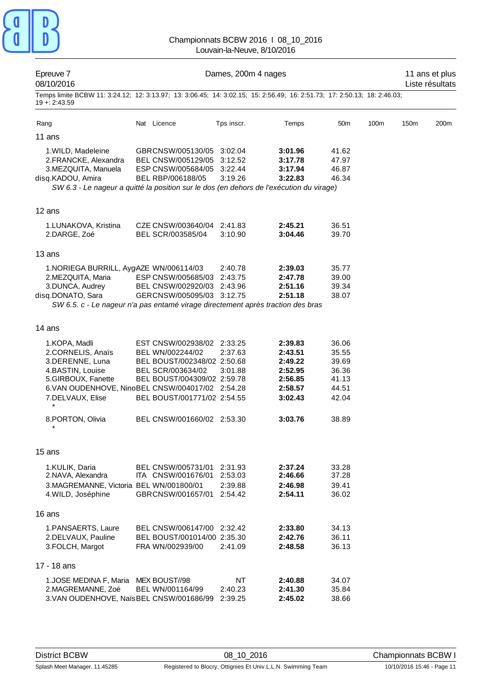| Epreuve 7<br>08/10/2016                                                                                                                                                                | Dames, 200m 4 nages |                                                                                                                                                                  |  |                                          |  |                                                                           | 11 ans et plus<br>Liste résultats                           |      |      |      |
|----------------------------------------------------------------------------------------------------------------------------------------------------------------------------------------|---------------------|------------------------------------------------------------------------------------------------------------------------------------------------------------------|--|------------------------------------------|--|---------------------------------------------------------------------------|-------------------------------------------------------------|------|------|------|
| Temps limite BCBW 11: 3:24.12; 12: 3:13.97; 13: 3:06.45; 14: 3:02.15; 15: 2:56.49; 16: 2:51.73; 17: 2:50.13; 18: 2:46.03;<br>$19 + 2:43.59$                                            |                     |                                                                                                                                                                  |  |                                          |  |                                                                           |                                                             |      |      |      |
| Rang                                                                                                                                                                                   |                     | Nat Licence                                                                                                                                                      |  | Tps inscr.                               |  | Temps                                                                     | 50 <sub>m</sub>                                             | 100m | 150m | 200m |
| 11 ans                                                                                                                                                                                 |                     |                                                                                                                                                                  |  |                                          |  |                                                                           |                                                             |      |      |      |
| 1. WILD, Madeleine<br>2.FRANCKE, Alexandra<br>3.MEZQUITA, Manuela<br>disq.KADOU, Amira<br>SW 6.3 - Le nageur a quitté la position sur le dos (en dehors de l'exécution du virage)      |                     | GBRCNSW/005130/05 3:02.04<br>BEL CNSW/005129/05<br>ESP CNSW/005684/05 3:22.44<br>BEL RBP/006188/05                                                               |  | 3:12.52<br>3:19.26                       |  | 3:01.96<br>3:17.78<br>3:17.94<br>3:22.83                                  | 41.62<br>47.97<br>46.87<br>46.34                            |      |      |      |
| 12 ans                                                                                                                                                                                 |                     |                                                                                                                                                                  |  |                                          |  |                                                                           |                                                             |      |      |      |
| 1.LUNAKOVA, Kristina<br>2.DARGE, Zoé                                                                                                                                                   |                     | CZE CNSW/003640/04 2:41.83<br>BEL SCR/003585/04                                                                                                                  |  | 3:10.90                                  |  | 2:45.21<br>3:04.46                                                        | 36.51<br>39.70                                              |      |      |      |
| 13 ans                                                                                                                                                                                 |                     |                                                                                                                                                                  |  |                                          |  |                                                                           |                                                             |      |      |      |
| 1.NORIEGA BURRILL, AygAZE WN/006114/03<br>2.MEZQUITA, Maria<br>3.DUNCA, Audrey<br>disq.DONATO, Sara<br>SW 6.5. c - Le nageur n'a pas entamé virage directement après traction des bras |                     | ESP CNSW/005685/03 2:43.75<br>BEL CNSW/002920/03 2:43.96<br>GERCNSW/005095/03 3:12.75                                                                            |  | 2:40.78                                  |  | 2:39.03<br>2:47.78<br>2:51.16<br>2:51.18                                  | 35.77<br>39.00<br>39.34<br>38.07                            |      |      |      |
| 14 ans                                                                                                                                                                                 |                     |                                                                                                                                                                  |  |                                          |  |                                                                           |                                                             |      |      |      |
| 1.KOPA, Madli<br>2.CORNELIS, Anaïs<br>3.DERENNE, Luna<br>4.BASTIN, Louise<br>5.GIRBOUX, Fanette<br>6. VAN OUDENHOVE, NinoBEL CNSW/004017/02 2:54.28<br>7.DELVAUX, Elise<br>$\star$     |                     | EST CNSW/002938/02 2:33.25<br>BEL WN/002244/02<br>BEL BOUST/002348/02 2:50.68<br>BEL SCR/003634/02<br>BEL BOUST/004309/02 2:59.78<br>BEL BOUST/001771/02 2:54.55 |  | 2:37.63<br>3:01.88                       |  | 2:39.83<br>2:43.51<br>2:49.22<br>2:52.95<br>2:56.85<br>2:58.57<br>3:02.43 | 36.06<br>35.55<br>39.69<br>36.36<br>41.13<br>44.51<br>42.04 |      |      |      |
| 8. PORTON, Olivia                                                                                                                                                                      |                     | BEL CNSW/001660/02 2:53.30                                                                                                                                       |  |                                          |  | 3:03.76                                                                   | 38.89                                                       |      |      |      |
| 15 ans                                                                                                                                                                                 |                     |                                                                                                                                                                  |  |                                          |  |                                                                           |                                                             |      |      |      |
| 1.KULIK, Daria<br>2.NAVA, Alexandra<br>3.MAGREMANNE, Victoria BEL WN/001800/01<br>4. WILD, Joséphine                                                                                   |                     | BEL CNSW/005731/01<br>ITA CNSW/001676/01<br>GBRCNSW/001657/01                                                                                                    |  | 2:31.93<br>2:53.03<br>2:39.88<br>2:54.42 |  | 2:37.24<br>2:46.66<br>2:46.98<br>2:54.11                                  | 33.28<br>37.28<br>39.41<br>36.02                            |      |      |      |
| 16 ans                                                                                                                                                                                 |                     |                                                                                                                                                                  |  |                                          |  |                                                                           |                                                             |      |      |      |
| 1. PANSAERTS, Laure<br>2.DELVAUX, Pauline<br>3.FOLCH, Margot                                                                                                                           |                     | BEL CNSW/006147/00 2:32.42<br>BEL BOUST/001014/00 2:35.30<br>FRA WN/002939/00                                                                                    |  | 2:41.09                                  |  | 2:33.80<br>2:42.76<br>2:48.58                                             | 34.13<br>36.11<br>36.13                                     |      |      |      |
| 17 - 18 ans                                                                                                                                                                            |                     |                                                                                                                                                                  |  |                                          |  |                                                                           |                                                             |      |      |      |
| 1.JOSE MEDINA F, Maria<br>2.MAGREMANNE, Zoé<br>3. VAN OUDENHOVE, Naïs BEL CNSW/001686/99                                                                                               |                     | MEX BOUST//98<br>BEL WN/001164/99                                                                                                                                |  | NT<br>2:40.23<br>2:39.25                 |  | 2:40.88<br>2:41.30<br>2:45.02                                             | 34.07<br>35.84<br>38.66                                     |      |      |      |